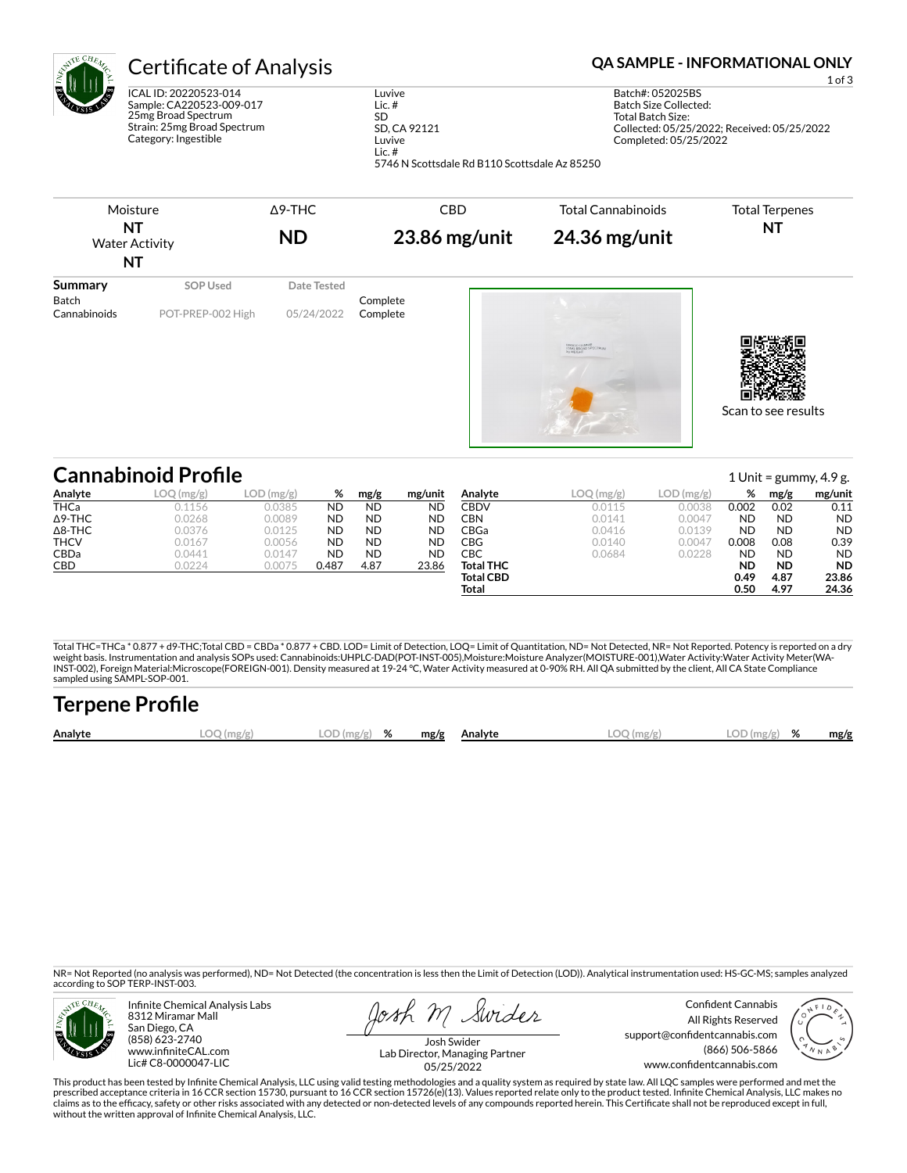| ${}^{1E}4$    | <b>Certificate of Analysis</b>                                                                          |                                          |
|---------------|---------------------------------------------------------------------------------------------------------|------------------------------------------|
| <b>SERIES</b> | ICAL ID: 20220523-014<br>Sample: CA220523-009-017<br>25mg Broad Spectrum<br>Strain: 25mg Broad Spectrum | Luvive<br>Lic. $#$<br>SD<br>SD, CA 92121 |
|               | Category: Ingestible                                                                                    | Luvive                                   |

Lic. #

#### **QA SAMPLE - INFORMATIONAL ONLY**

1 of 3

Batch#: 052025BS Batch Size Collected: Total Batch Size: Collected: 05/25/2022; Received: 05/25/2022 Completed: 05/25/2022



5746 N Scottsdale Rd B110 Scottsdale Az 85250

|                | <b>Cannabinoid Profile</b>                       |           |       |           |           |                  |           |           |           |           | 1 Unit = $\frac{100}{100}$ , 4.9 g. |
|----------------|--------------------------------------------------|-----------|-------|-----------|-----------|------------------|-----------|-----------|-----------|-----------|-------------------------------------|
| Analyte        | LOO<br>$\left(\frac{\text{mg}}{\text{g}}\right)$ | LOD(mg/g) | %     | mg/g      | mg/unit   | Analyte          | LOQ(mg/g) | LOD(mg/g) | %         | mg/g      | mg/unit                             |
| <b>THCa</b>    | 0.1156                                           | 0.0385    | ND    | <b>ND</b> | ND.       | CBDV             | 0.0115    | 0.0038    | 0.002     | 0.02      | 0.11                                |
| $\Delta$ 9-THC | 0.0268                                           | 0.0089    | ND    | <b>ND</b> | <b>ND</b> | CBN              | 0.0141    | 0.0047    | <b>ND</b> | <b>ND</b> | <b>ND</b>                           |
| $\Delta$ 8-THC | 0.0376                                           | 0.0125    | ND    | <b>ND</b> | <b>ND</b> | CBGa             | 0.0416    | 0.0139    | <b>ND</b> | <b>ND</b> | <b>ND</b>                           |
| <b>THCV</b>    | 0.0167                                           | 0.0056    | ND    | <b>ND</b> | <b>ND</b> | CBG              | 0.0140    | 0.0047    | 0.008     | 0.08      | 0.39                                |
| CBDa           | 0.0441                                           | 0.0147    | ND    | <b>ND</b> | <b>ND</b> | CBC              | 0.0684    | 0.0228    | <b>ND</b> | <b>ND</b> | <b>ND</b>                           |
| CBD            | 0.0224                                           | 0.0075    | 0.487 | 4.87      | 23.86     | <b>Total THC</b> |           |           | <b>ND</b> | <b>ND</b> | <b>ND</b>                           |
|                |                                                  |           |       |           |           | <b>Total CBD</b> |           |           | 0.49      | 4.87      | 23.86                               |
|                |                                                  |           |       |           |           | Total            |           |           | 0.50      | 4.97      | 24.36                               |

Total THC=THCa \* 0.877 + d9-THC;Total CBD = CBDa \* 0.877 + CBD. LOD= Limit of Detection, LOQ= Limit of Quantitation, ND= Not Detected, NR= Not Reported. Potency is reported on a dry<br>weight basis. Instrumentation and analys INST-002), Foreign Material:Microscope(FOREIGN-001). Density measured at 19-24 °C, Water Activity measured at 0-90% RH. All QA submitted by the client, All CA State Compliance sampled using SAMPL-SOP-001.

| <b>Terpene Profile</b> |              |               |      |                |              |               |      |
|------------------------|--------------|---------------|------|----------------|--------------|---------------|------|
| Analyte                | $LOO$ (mg/g) | $LOD(mg/g)$ % | mg/g | <b>Analyte</b> | $LOQ$ (mg/g) | $LOD(mg/g)$ % | mg/g |

NR= Not Reported (no analysis was performed), ND= Not Detected (the concentration is less then the Limit of Detection (LOD)). Analytical instrumentation used: HS-GC-MS; samples analyzed according to SOP TERP-INST-003.



Infinite Chemical Analysis Labs 8312 Miramar Mall San Diego, CA (858) 623-2740 www.infiniteCAL.com Lic# C8-0000047-LIC

osh M Swider

Confident Cannabis All Rights Reserved support@confidentcannabis.com (866) 506-5866 www.confidentcannabis.com



Josh Swider Lab Director, Managing Partner 05/25/2022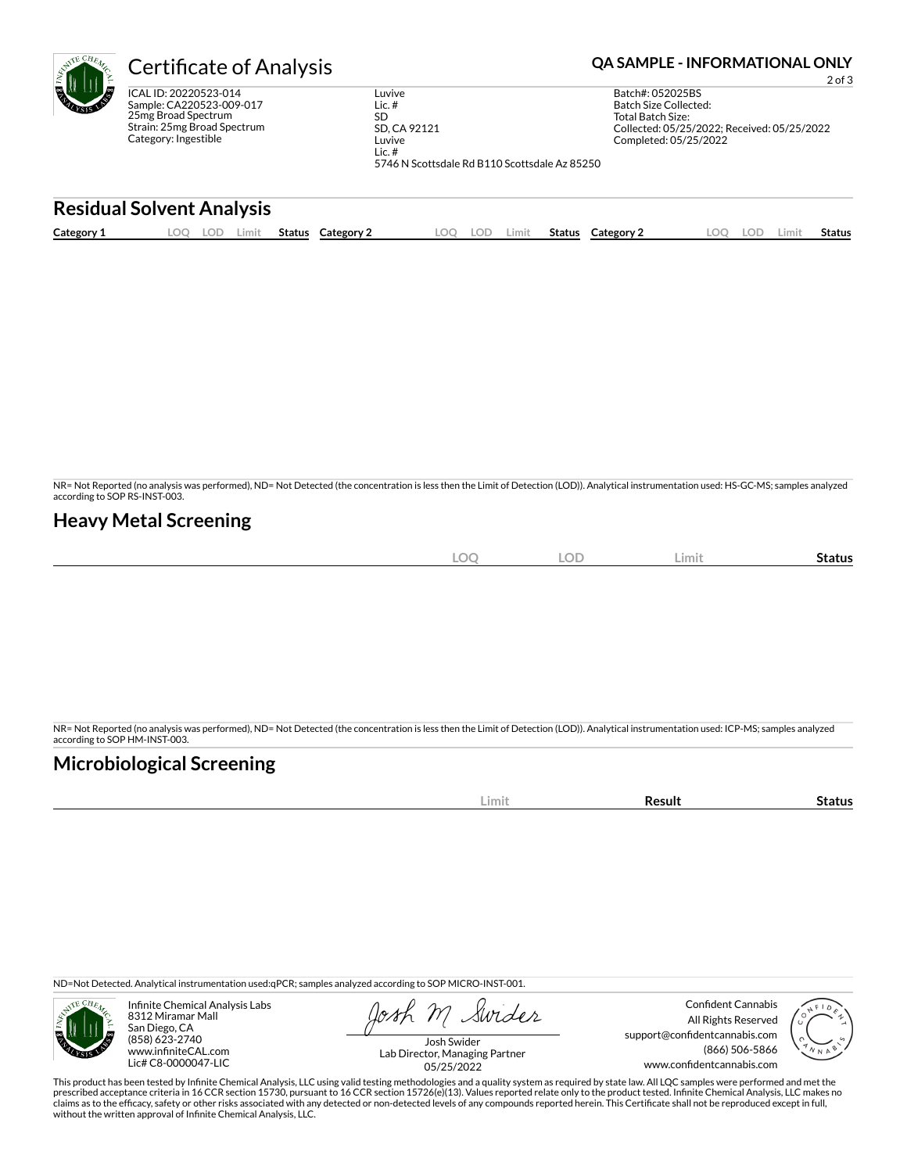| $\mathcal{A}^{\text{TE} \times \overline{\text{CH}}_{E_{\mathcal{A}}}}$<br>۴l | <b>Certificate of Analysis</b>                                                                                                  |                      | <b>QA SAMPLE - INFORMATIONAL ONLY</b><br>$2$ of $3$                                                                    |     |       |        |                                                                |                                                                      |     |       |               |
|-------------------------------------------------------------------------------|---------------------------------------------------------------------------------------------------------------------------------|----------------------|------------------------------------------------------------------------------------------------------------------------|-----|-------|--------|----------------------------------------------------------------|----------------------------------------------------------------------|-----|-------|---------------|
|                                                                               | ICAL ID: 20220523-014<br>Sample: CA220523-009-017<br>25mg Broad Spectrum<br>Strain: 25mg Broad Spectrum<br>Category: Ingestible |                      | Luvive<br>Lic. $#$<br><b>SD</b><br>SD, CA 92121<br>Luvive<br>Lic. $#$<br>5746 N Scottsdale Rd B110 Scottsdale Az 85250 |     |       |        | Batch#: 052025BS<br>Batch Size Collected:<br>Total Batch Size: | Collected: 05/25/2022: Received: 05/25/2022<br>Completed: 05/25/2022 |     |       |               |
|                                                                               | <b>Residual Solvent Analysis</b>                                                                                                |                      |                                                                                                                        |     |       |        |                                                                |                                                                      |     |       |               |
| Category 1                                                                    | LOO<br>LOD.<br>Limit                                                                                                            | Category 2<br>Status | LOO                                                                                                                    | LOD | Limit | Status | Category 2                                                     | LOO                                                                  | lod | Limit | <b>Status</b> |
|                                                                               |                                                                                                                                 |                      |                                                                                                                        |     |       |        |                                                                |                                                                      |     |       |               |

NR= Not Reported (no analysis was performed), ND= Not Detected (the concentration is less then the Limit of Detection (LOD)). Analytical instrumentation used: HS-GC-MS; samples analyzed according to SOP RS-INST-003.

# **Heavy Metal Screening**

| <b>LOC</b> | <b>LOD</b> | – Limiu | -<br>Status |
|------------|------------|---------|-------------|
|            |            |         |             |

NR= Not Reported (no analysis was performed), ND= Not Detected (the concentration is less then the Limit of Detection (LOD)). Analytical instrumentation used: ICP-MS; samples analyzed according to SOP HM-INST-003.

# **Microbiological Screening**

| ---- |  |
|------|--|

ND=Not Detected. Analytical instrumentation used:qPCR; samples analyzed according to SOP MICRO-INST-001.



Infinite Chemical Analysis Labs 8312 Miramar Mall San Diego, CA (858) 623-2740 www.infiniteCAL.com Lic# C8-0000047-LIC

Swider

Confident Cannabis All Rights Reserved support@confidentcannabis.com (866) 506-5866 www.confidentcannabis.com



Josh Swider Lab Director, Managing Partner 05/25/2022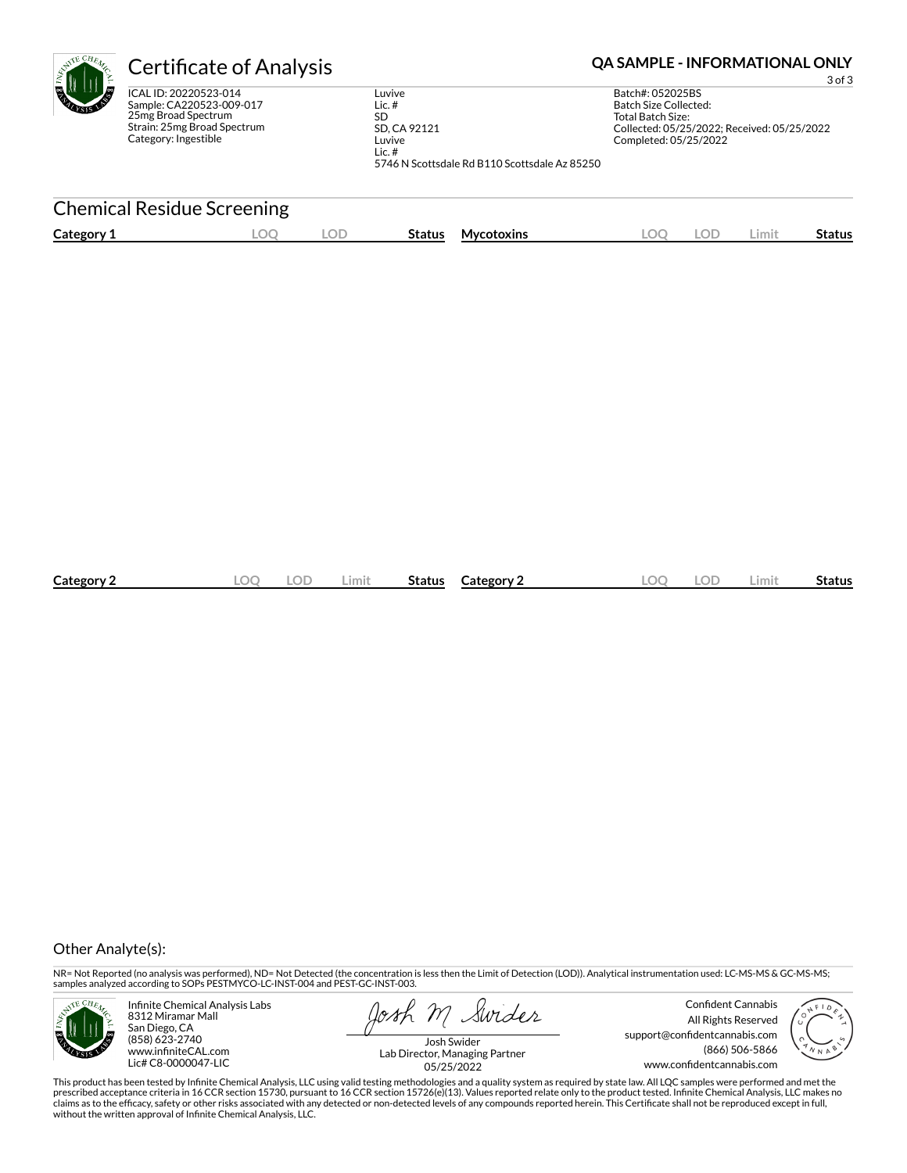| <b>Certificate of Analysis</b>                                                                                                  | <b>QA SAMPLE - INFORMATIONAL ONLY</b><br>$3$ of $3$                                                                 |                                                                                                                                        |  |
|---------------------------------------------------------------------------------------------------------------------------------|---------------------------------------------------------------------------------------------------------------------|----------------------------------------------------------------------------------------------------------------------------------------|--|
| ICAL ID: 20220523-014<br>Sample: CA220523-009-017<br>25mg Broad Spectrum<br>Strain: 25mg Broad Spectrum<br>Category: Ingestible | Luvive<br>Lic.#<br><b>SD</b><br>SD, CA 92121<br>Luvive<br>Lic. $#$<br>5746 N Scottsdale Rd B110 Scottsdale Az 85250 | Batch#: 052025BS<br>Batch Size Collected:<br>Total Batch Size:<br>Collected: 05/25/2022; Received: 05/25/2022<br>Completed: 05/25/2022 |  |
| <b>Chemical Residue Screening</b>                                                                                               |                                                                                                                     |                                                                                                                                        |  |

|           | ገ(   | DГ  |       |        |            |    | DГ   |       |        |
|-----------|------|-----|-------|--------|------------|----|------|-------|--------|
| Category. | ne 1 | - - | .imit | Status | Category : | λC | - 14 | .imit | itatus |

### Other Analyte(s):

NR= Not Reported (no analysis was performed), ND= Not Detected (the concentration is less then the Limit of Detection (LOD)). Analytical instrumentation used: LC-MS-MS & GC-MS-MS;<br>samples analyzed according to SOPs PESTMYC



Infinite Chemical Analysis Labs 8312 Miramar Mall San Diego, CA (858) 623-2740 www.infiniteCAL.com Lic# C8-0000047-LIC

**Category 1 LOQ LOD Status**

Swider

Confident Cannabis All Rights Reserved support@confidentcannabis.com (866) 506-5866 www.confidentcannabis.com

**Mycotoxins LOQ LOD Limit Status**



Josh Swider Lab Director, Managing Partner 05/25/2022

This product has been tested by Infinite Chemical Analysis, LLC using valid testing methodologies and a quality system as required by state law. All LQC samples were performed and met the<br>prescribed acceptance criteria in without the written approval of Infinite Chemical Analysis, LLC.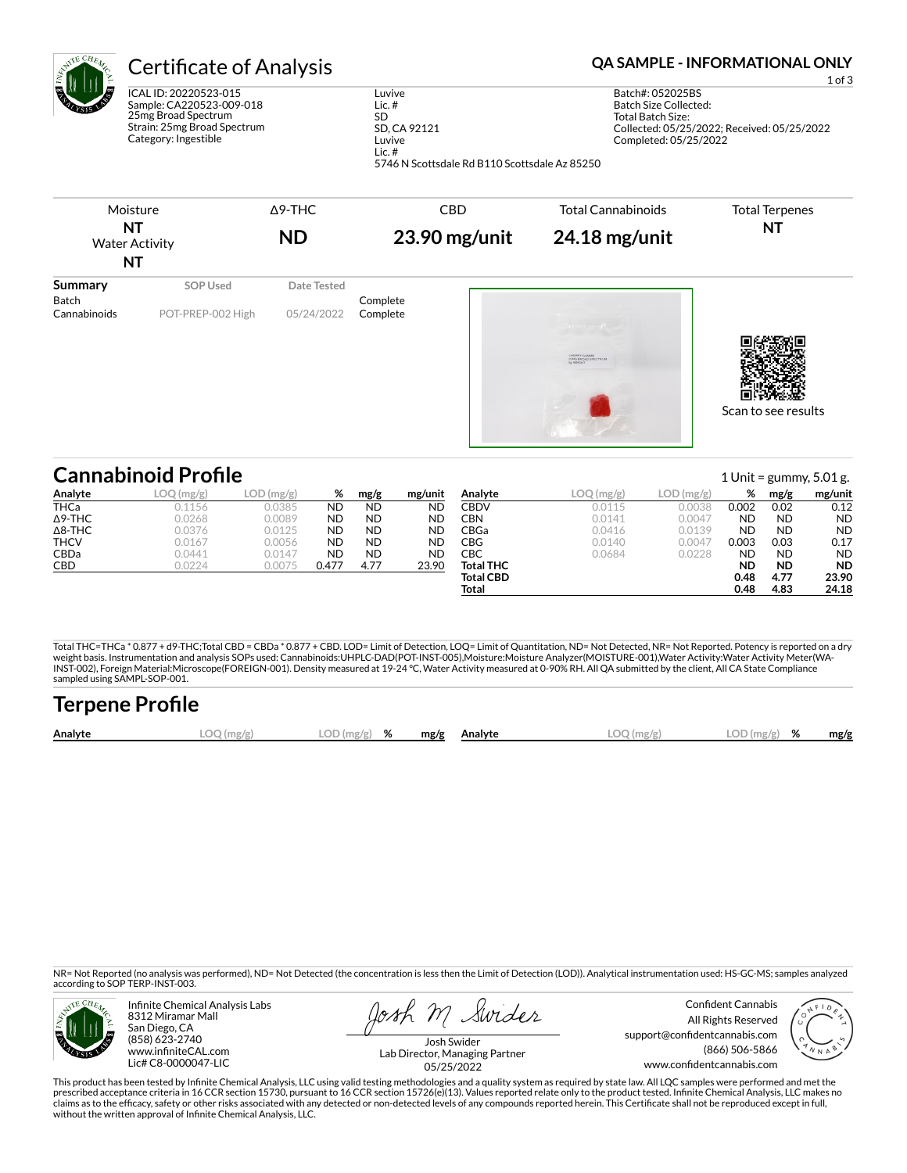| $\zeta_{\rm N}$ | <b>Certificate of Analysis</b>                  |
|-----------------|-------------------------------------------------|
| Ş               | ICAL ID: 20220523-015                           |
|                 | Sample: CA220523-009-018<br>25mg Rroad Spoctrum |

25mg Broad Spectrum Strain: 25mg Broad Spectrum Category: Ingestible

#### Luvive Lic. # SD SD, CA 92121 Luvive Lic. #

**OA SAMPLE - INFORMATIONAL ONLY** 

1 of 3 Batch#: 052025BS Batch Size Collected: Total Batch Size: Collected: 05/25/2022; Received: 05/25/2022 Completed: 05/25/2022

5746 N Scottsdale Rd B110 Scottsdale Az 85250



#### Scan to see results

#### **Cannabinoid Profile**<br>Analyte 1 Unit = gummy, 5.01 g.<br>Analyte 1 Unit = gummy, 5.01 g. Analyte 1 Unit = gummy, 5.01 g. Analyte 1 Unit = gummy, 5.01 g. **Analyte LOQ (mg/g) LOD (mg/g) % mg/g mg/unit** THCa 0.1156 0.0385 ND ND ND Δ9-THC 0.0268 0.0089 ND ND ND Δ8-THC 0.0376 0.0125 ND ND ND THCV 0.0167 0.0056 ND ND ND CBDa 0.0441 0.0147 ND ND ND **CBD** 0.0224 0.0075 **0.477 4.77 23.90 Analyte LOQ (mg/g) LOD (mg/g) % mg/g mg/unit CBDV 0.0115 0.0038 0.002 0.02 0.12** CBN 0.0141 0.0047 ND ND ND **CBGa** 0.0416 0.0139 **ND ND ND CBG** 0.0140 0.0047 **0.003 0.03 0.17** CBC 0.0684 0.0228 ND ND ND **Total THC ND ND ND Total CBD 0.48 4.77 23.90 Total 0.48 4.83 24.18**

Total THC=THCa \* 0.877 + d9-THC;Total CBD = CBDa \* 0.877 + CBD. LOD= Limit of Detection, LOQ= Limit of Quantitation, ND= Not Detected, NR= Not Reported. Potency is reported on a dry<br>weight basis. Instrumentation and analys INST-002), Foreign Material:Microscope(FOREIGN-001). Density measured at 19-24 °C, Water Activity measured at 0-90% RH. All QA submitted by the client, All CA State Compliance sampled using SAMPL-SOP-001.

| <b>Terpene Profile</b> |            |               |  |              |              |               |      |
|------------------------|------------|---------------|--|--------------|--------------|---------------|------|
| Analyte                | LOO (mg/g) | $LOD(mg/g)$ % |  | mg/g Analyte | $LOQ$ (mg/g) | $LOD(mg/g)$ % | mg/g |

NR= Not Reported (no analysis was performed), ND= Not Detected (the concentration is less then the Limit of Detection (LOD)). Analytical instrumentation used: HS-GC-MS; samples analyzed according to SOP TERP-INST-003.



Infinite Chemical Analysis Labs 8312 Miramar Mall San Diego, CA (858) 623-2740 www.infiniteCAL.com Lic# C8-0000047-LIC

Swider osh m

Confident Cannabis All Rights Reserved support@confidentcannabis.com (866) 506-5866 www.confidentcannabis.com



Josh Swider Lab Director, Managing Partner 05/25/2022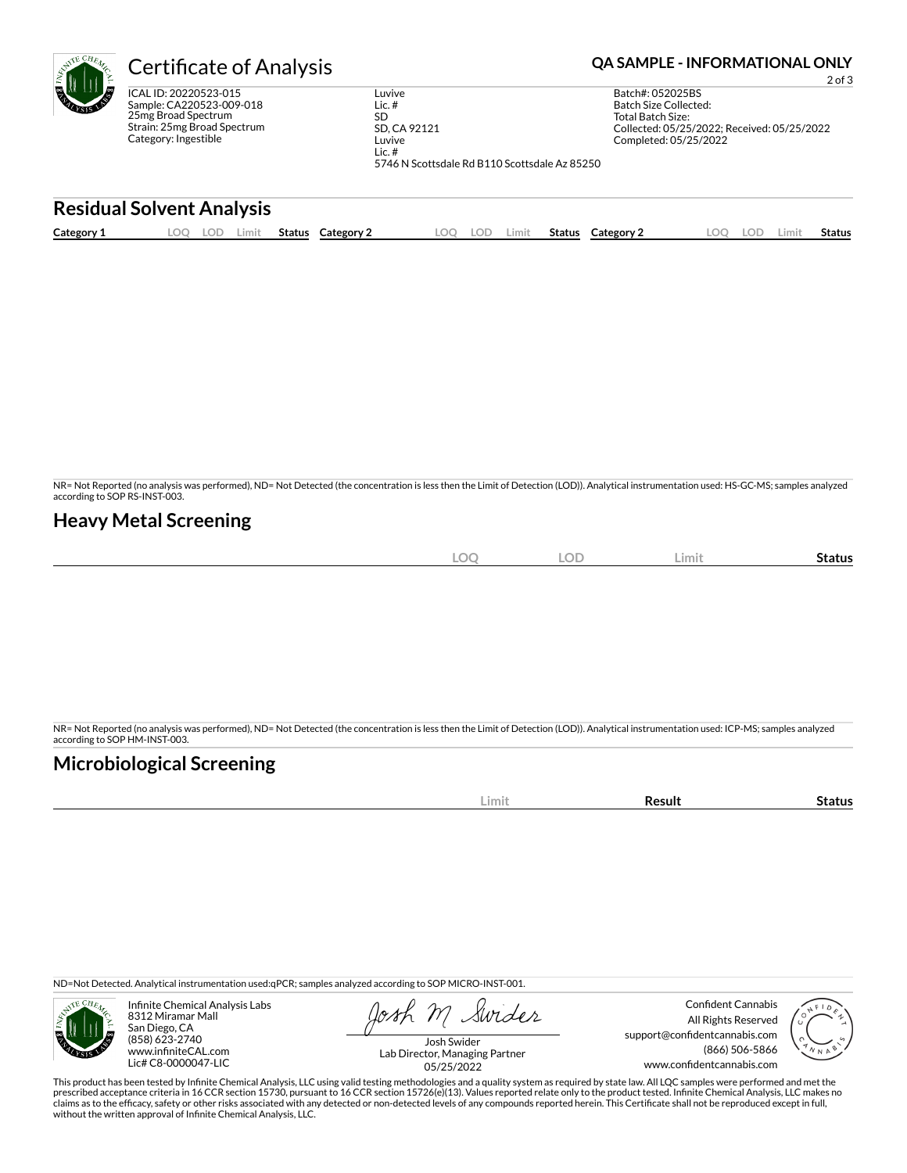| ۴l         | <b>Certificate of Analysis</b>                                                                                                  | <b>QA SAMPLE - INFORMATIONAL ONLY</b><br>$2$ of $3$ |       |        |                                   |                                                                                   |            |       |        |            |                                                                                                                                               |     |       |               |
|------------|---------------------------------------------------------------------------------------------------------------------------------|-----------------------------------------------------|-------|--------|-----------------------------------|-----------------------------------------------------------------------------------|------------|-------|--------|------------|-----------------------------------------------------------------------------------------------------------------------------------------------|-----|-------|---------------|
|            | ICAL ID: 20220523-015<br>Sample: CA220523-009-018<br>25mg Broad Spectrum<br>Strain: 25mg Broad Spectrum<br>Category: Ingestible |                                                     |       |        | Lic. $#$<br><b>SD</b><br>Lic. $#$ | Luvive<br>SD, CA 92121<br>Luvive<br>5746 N Scottsdale Rd B110 Scottsdale Az 85250 |            |       |        |            | Batch#: 052025BS<br>Batch Size Collected:<br><b>Total Batch Size:</b><br>Collected: 05/25/2022; Received: 05/25/2022<br>Completed: 05/25/2022 |     |       |               |
|            | <b>Residual Solvent Analysis</b>                                                                                                |                                                     |       |        |                                   |                                                                                   |            |       |        |            |                                                                                                                                               |     |       |               |
| Category 1 | LOO                                                                                                                             | LOD.                                                | Limit | Status | Category 2                        | LOO                                                                               | <b>LOD</b> | Limit | Status | Category 2 | <b>LOO</b>                                                                                                                                    | LOD | Limit | <b>Status</b> |

NR= Not Reported (no analysis was performed), ND= Not Detected (the concentration is less then the Limit of Detection (LOD)). Analytical instrumentation used: HS-GC-MS; samples analyzed according to SOP RS-INST-003.

# **Heavy Metal Screening**

| <b>LOC</b> | <b>LOD</b> | – Limiu | -<br>Status |
|------------|------------|---------|-------------|
|            |            |         |             |

NR= Not Reported (no analysis was performed), ND= Not Detected (the concentration is less then the Limit of Detection (LOD)). Analytical instrumentation used: ICP-MS; samples analyzed according to SOP HM-INST-003.

# **Microbiological Screening**

| ----- | . |
|-------|---|
|       |   |

ND=Not Detected. Analytical instrumentation used:qPCR; samples analyzed according to SOP MICRO-INST-001.



Infinite Chemical Analysis Labs 8312 Miramar Mall San Diego, CA (858) 623-2740 www.infiniteCAL.com Lic# C8-0000047-LIC

Swider

Confident Cannabis All Rights Reserved support@confidentcannabis.com (866) 506-5866 www.confidentcannabis.com



Josh Swider Lab Director, Managing Partner 05/25/2022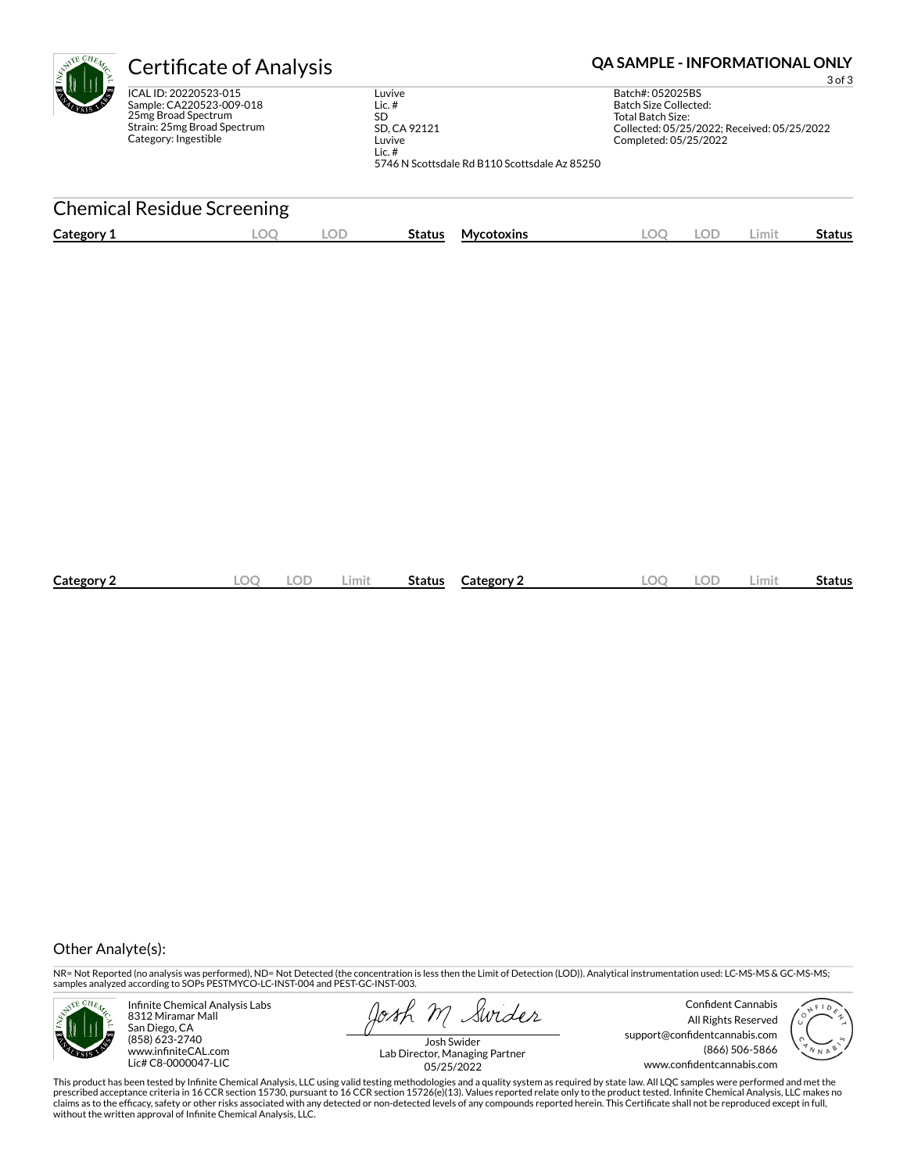| <b>Certificate of Analysis</b>                                                                                                  |                                                                                                                        | <b>QA SAMPLE - INFORMATIONAL ONLY</b><br>$3$ of $3$                                                                                    |
|---------------------------------------------------------------------------------------------------------------------------------|------------------------------------------------------------------------------------------------------------------------|----------------------------------------------------------------------------------------------------------------------------------------|
| ICAL ID: 20220523-015<br>Sample: CA220523-009-018<br>25mg Broad Spectrum<br>Strain: 25mg Broad Spectrum<br>Category: Ingestible | Luvive<br>Lic. $#$<br><b>SD</b><br>SD, CA 92121<br>Luvive<br>Lic. $#$<br>5746 N Scottsdale Rd B110 Scottsdale Az 85250 | Batch#: 052025BS<br>Batch Size Collected:<br>Total Batch Size:<br>Collected: 05/25/2022; Received: 05/25/2022<br>Completed: 05/25/2022 |
| <b>Chemical Residue Screening</b>                                                                                               |                                                                                                                        |                                                                                                                                        |

| Category 2 | ОD | Limit | <b>Status</b> Category 2 | _OC | .OD | Limit | <b>Status</b> |
|------------|----|-------|--------------------------|-----|-----|-------|---------------|
|            |    |       |                          |     |     |       |               |

### Other Analyte(s):

NR= Not Reported (no analysis was performed), ND= Not Detected (the concentration is less then the Limit of Detection (LOD)). Analytical instrumentation used: LC-MS-MS & GC-MS-MS;<br>samples analyzed according to SOPs PESTMYC



Infinite Chemical Analysis Labs 8312 Miramar Mall San Diego, CA (858) 623-2740 www.infiniteCAL.com Lic# C8-0000047-LIC

**Category 1 LOQ LOD Status**

Swider

Confident Cannabis All Rights Reserved support@confidentcannabis.com (866) 506-5866 www.confidentcannabis.com

**Mycotoxins LOQ LOD Limit Status**



Josh Swider Lab Director, Managing Partner 05/25/2022

This product has been tested by Infinite Chemical Analysis, LLC using valid testing methodologies and a quality system as required by state law. All LQC samples were performed and met the<br>prescribed acceptance criteria in without the written approval of Infinite Chemical Analysis, LLC.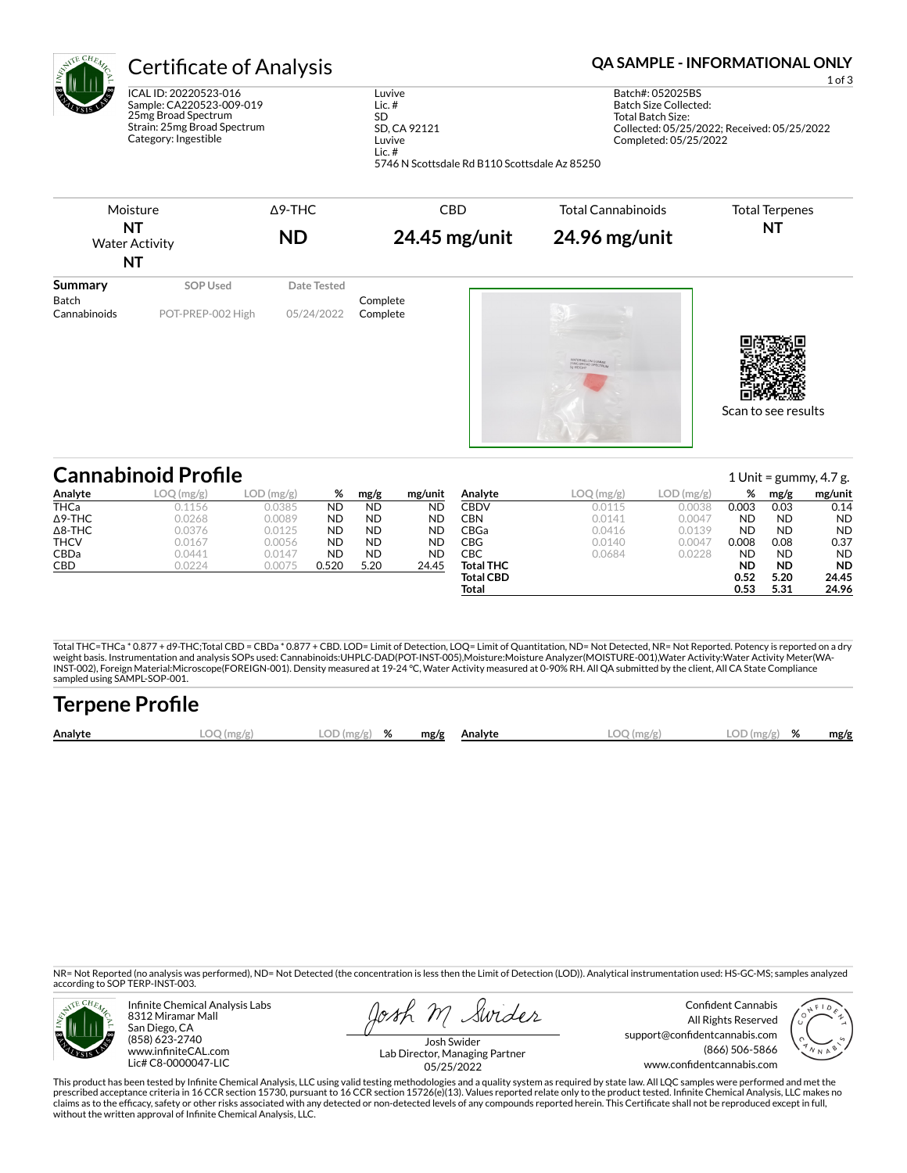| $\epsilon_{A_{\rm Z}}$ | <b>Certificate of Analysis</b>                                                                                                  |                                                 | Œ |
|------------------------|---------------------------------------------------------------------------------------------------------------------------------|-------------------------------------------------|---|
| <b>TANK</b>            | ICAL ID: 20220523-016<br>Sample: CA220523-009-019<br>25mg Broad Spectrum<br>Strain: 25mg Broad Spectrum<br>Category: Ingestible | Luvive<br>Lic.#<br>SD<br>SD, CA 92121<br>Luvive |   |
|                        |                                                                                                                                 | Lic. $#$                                        |   |

1 of 3

Batch#: 052025BS Batch Size Collected: Total Batch Size: Collected: 05/25/2022; Received: 05/25/2022 Completed: 05/25/2022



5746 N Scottsdale Rd B110 Scottsdale Az 85250

|                | <b>Cannabinoid Profile</b> |            |           |           |           |                  |            |            |           |           | 1 Unit = $\gamma$ ummy, 4.7 g. |
|----------------|----------------------------|------------|-----------|-----------|-----------|------------------|------------|------------|-----------|-----------|--------------------------------|
| Analyte        | LOQ (mg/g)                 | LOD (mg/g) | %         | mg/g      | mg/unit   | Analyte          | LOQ (mg/g) | LOD (mg/g) | %         | mg/g      | mg/unit                        |
| <b>THCa</b>    | 0.1156                     | 0.0385     | <b>ND</b> | <b>ND</b> | <b>ND</b> | CBDV             | 0.0115     | 0.0038     | 0.003     | 0.03      | 0.14                           |
| $\Delta$ 9-THC | 0.0268                     | 0.0089     | <b>ND</b> | ND.       | <b>ND</b> | CBN              | 0.0141     | 0.0047     | <b>ND</b> | <b>ND</b> | <b>ND</b>                      |
| $\Delta$ 8-THC | 0.0376                     | 0.0125     | <b>ND</b> | <b>ND</b> | <b>ND</b> | CBGa             | 0.0416     | 0.0139     | <b>ND</b> | <b>ND</b> | <b>ND</b>                      |
| <b>THCV</b>    | 0.0167                     | 0.0056     | <b>ND</b> | <b>ND</b> | ND        | CBG              | 0.0140     | 0.0047     | 0.008     | 0.08      | 0.37                           |
| <b>CBDa</b>    | 0.0441                     | 0.0147     | <b>ND</b> | <b>ND</b> | <b>ND</b> | CBC              | 0.0684     | 0.0228     | <b>ND</b> | ND        | <b>ND</b>                      |
| CBD            | 0.0224                     | 0.0075     | 0.520     | 5.20      | 24.45     | <b>Total THC</b> |            |            | <b>ND</b> | <b>ND</b> | <b>ND</b>                      |
|                |                            |            |           |           |           | <b>Total CBD</b> |            |            | 0.52      | 5.20      | 24.45                          |
|                |                            |            |           |           |           | Total            |            |            | 0.53      | 5.31      | 24.96                          |
|                |                            |            |           |           |           |                  |            |            |           |           |                                |

Total THC=THCa \* 0.877 + d9-THC;Total CBD = CBDa \* 0.877 + CBD. LOD= Limit of Detection, LOQ= Limit of Quantitation, ND= Not Detected, NR= Not Reported. Potency is reported on a dry<br>weight basis. Instrumentation and analys INST-002), Foreign Material:Microscope(FOREIGN-001). Density measured at 19-24 °C, Water Activity measured at 0-90% RH. All QA submitted by the client, All CA State Compliance sampled using SAMPL-SOP-001.

| <b>Terpene Profile</b> |            |               |      |         |              |               |      |
|------------------------|------------|---------------|------|---------|--------------|---------------|------|
| Analyte                | LOO (mg/g) | $LOD(mg/g)$ % | mg/g | Analvte | $LOO$ (mg/g) | $LOD(mg/g)$ % | mg/g |

NR= Not Reported (no analysis was performed), ND= Not Detected (the concentration is less then the Limit of Detection (LOD)). Analytical instrumentation used: HS-GC-MS; samples analyzed according to SOP TERP-INST-003.



Infinite Chemical Analysis Labs 8312 Miramar Mall San Diego, CA (858) 623-2740 www.infiniteCAL.com Lic# C8-0000047-LIC

osh M Swider

Confident Cannabis All Rights Reserved support@confidentcannabis.com (866) 506-5866 www.confidentcannabis.com



Josh Swider Lab Director, Managing Partner 05/25/2022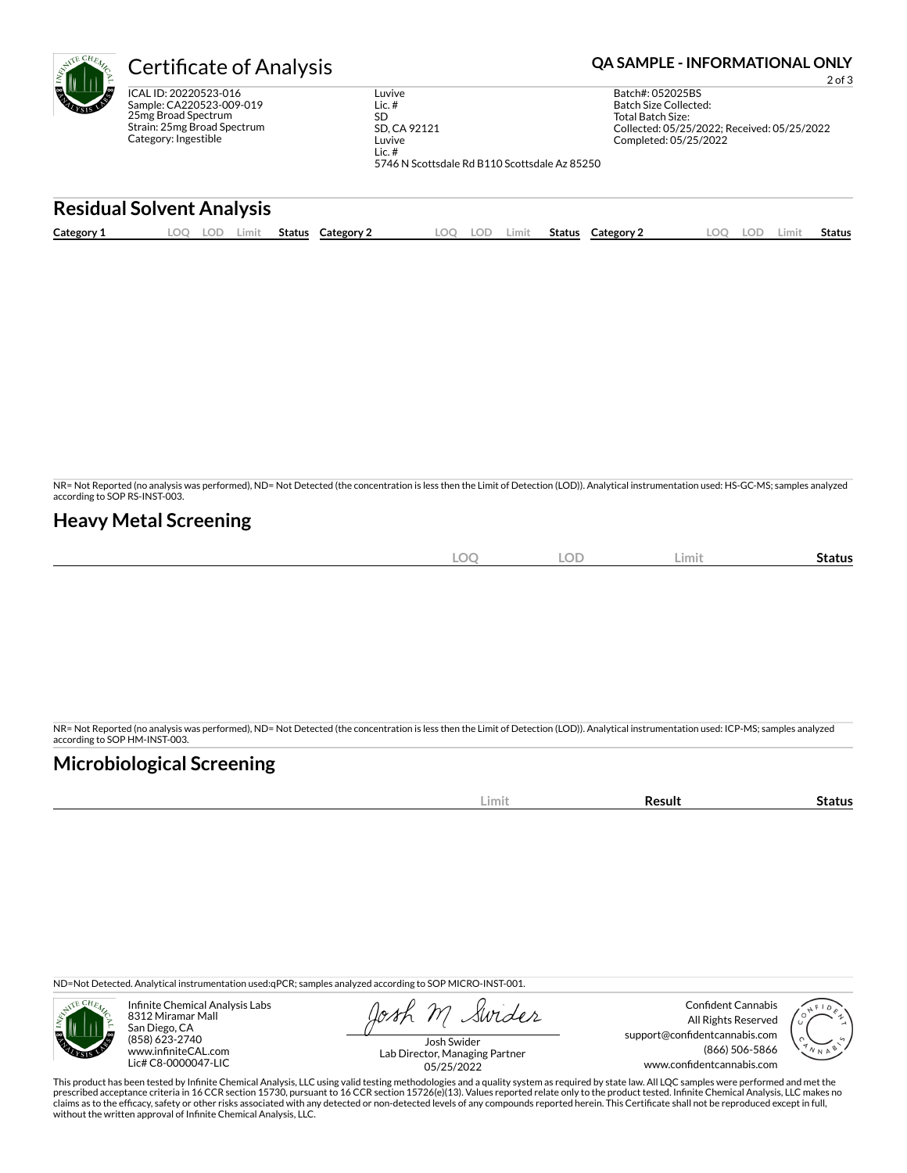| <b>AITE</b><br>ę۱ | <b>Certificate of Analysis</b>                                                                                                  | <b>QA SAMPLE - INFORMATIONAL ONLY</b><br>$2$ of $3$                   |                                               |        |                                                                |                                                                      |       |               |
|-------------------|---------------------------------------------------------------------------------------------------------------------------------|-----------------------------------------------------------------------|-----------------------------------------------|--------|----------------------------------------------------------------|----------------------------------------------------------------------|-------|---------------|
|                   | ICAL ID: 20220523-016<br>Sample: CA220523-009-019<br>25mg Broad Spectrum<br>Strain: 25mg Broad Spectrum<br>Category: Ingestible | Luvive<br>Lic. $#$<br><b>SD</b><br>SD, CA 92121<br>Luvive<br>Lic. $#$ | 5746 N Scottsdale Rd B110 Scottsdale Az 85250 |        | Batch#: 052025BS<br>Batch Size Collected:<br>Total Batch Size: | Collected: 05/25/2022: Received: 05/25/2022<br>Completed: 05/25/2022 |       |               |
|                   | <b>Residual Solvent Analysis</b>                                                                                                |                                                                       |                                               |        |                                                                |                                                                      |       |               |
| Category 1        | Limit<br>LOO<br>Status<br>LOD.                                                                                                  | Category 2                                                            | LOO<br>LOD<br>Limit                           | Status | Category 2                                                     | <b>LOO</b><br><b>LOD</b>                                             | Limit | <b>Status</b> |

NR= Not Reported (no analysis was performed), ND= Not Detected (the concentration is less then the Limit of Detection (LOD)). Analytical instrumentation used: HS-GC-MS; samples analyzed according to SOP RS-INST-003.

# **Heavy Metal Screening**

| $\bigcap$<br><b>All Street</b><br>-2011<br>$\sim$ | <b>LOD</b> | Limit | status |
|---------------------------------------------------|------------|-------|--------|
|                                                   |            |       |        |

NR= Not Reported (no analysis was performed), ND= Not Detected (the concentration is less then the Limit of Detection (LOD)). Analytical instrumentation used: ICP-MS; samples analyzed according to SOP HM-INST-003.

# **Microbiological Screening**

| ---- |  |
|------|--|

ND=Not Detected. Analytical instrumentation used:qPCR; samples analyzed according to SOP MICRO-INST-001.



Infinite Chemical Analysis Labs 8312 Miramar Mall San Diego, CA (858) 623-2740 www.infiniteCAL.com Lic# C8-0000047-LIC

Swider

Confident Cannabis All Rights Reserved support@confidentcannabis.com (866) 506-5866 www.confidentcannabis.com



Josh Swider Lab Director, Managing Partner 05/25/2022